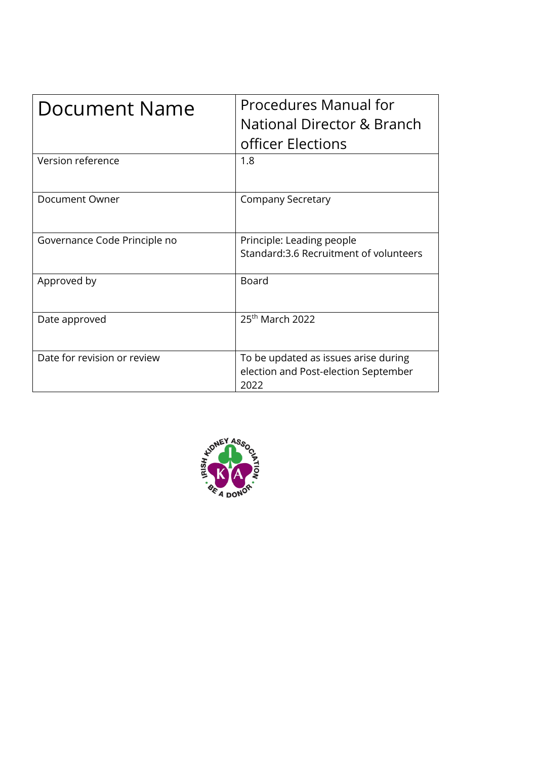| Document Name                | Procedures Manual for<br>National Director & Branch<br>officer Elections             |
|------------------------------|--------------------------------------------------------------------------------------|
| Version reference            | 1.8                                                                                  |
| Document Owner               | <b>Company Secretary</b>                                                             |
| Governance Code Principle no | Principle: Leading people<br>Standard:3.6 Recruitment of volunteers                  |
| Approved by                  | <b>Board</b>                                                                         |
| Date approved                | 25 <sup>th</sup> March 2022                                                          |
| Date for revision or review  | To be updated as issues arise during<br>election and Post-election September<br>2022 |

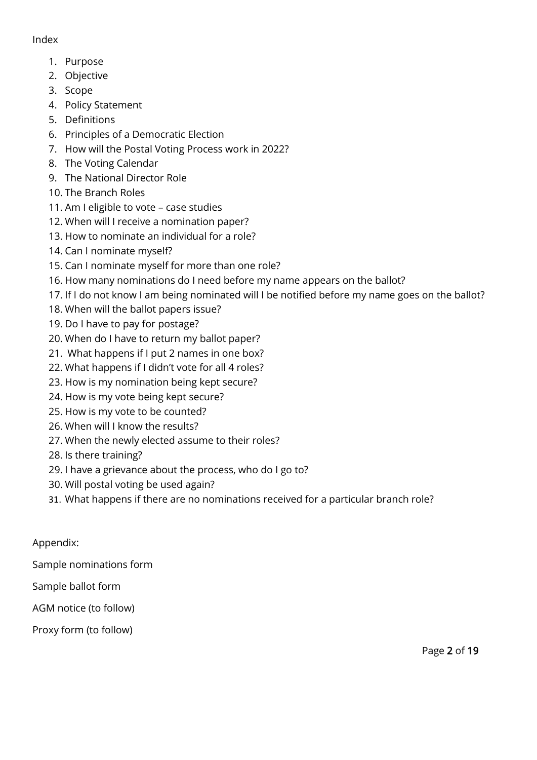#### Index

- 1. Purpose
- 2. Objective
- 3. Scope
- 4. Policy Statement
- 5. Definitions
- 6. Principles of a Democratic Election
- 7. How will the Postal Voting Process work in 2022?
- 8. The Voting Calendar
- 9. The National Director Role
- 10. The Branch Roles
- 11. Am I eligible to vote case studies
- 12. When will I receive a nomination paper?
- 13. How to nominate an individual for a role?
- 14. Can I nominate myself?
- 15. Can I nominate myself for more than one role?
- 16. How many nominations do I need before my name appears on the ballot?
- 17. If I do not know I am being nominated will I be notified before my name goes on the ballot?
- 18. When will the ballot papers issue?
- 19. Do I have to pay for postage?
- 20. When do I have to return my ballot paper?
- 21. What happens if I put 2 names in one box?
- 22. What happens if I didn't vote for all 4 roles?
- 23. How is my nomination being kept secure?
- 24. How is my vote being kept secure?
- 25. How is my vote to be counted?
- 26. When will I know the results?
- 27. When the newly elected assume to their roles?
- 28. Is there training?
- 29. I have a grievance about the process, who do I go to?
- 30. Will postal voting be used again?
- 31. What happens if there are no nominations received for a particular branch role?

#### Appendix:

Sample nominations form

- Sample ballot form
- AGM notice (to follow)

Proxy form (to follow)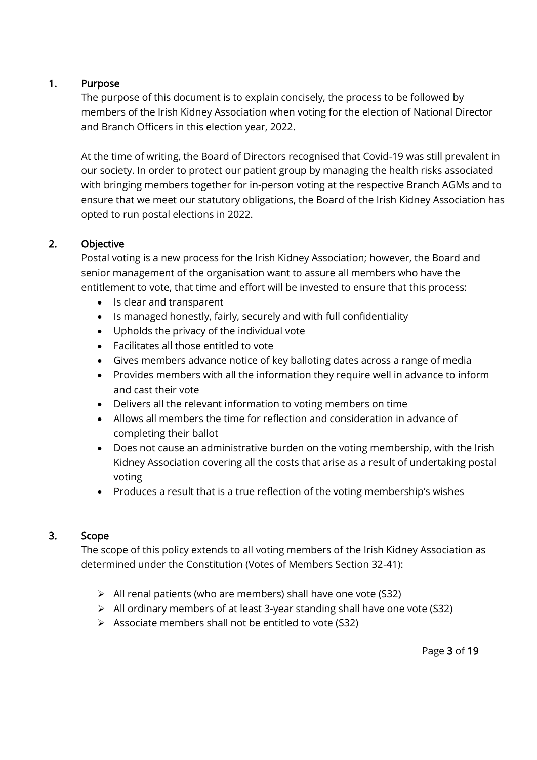#### 1. Purpose

The purpose of this document is to explain concisely, the process to be followed by members of the Irish Kidney Association when voting for the election of National Director and Branch Officers in this election year, 2022.

At the time of writing, the Board of Directors recognised that Covid-19 was still prevalent in our society. In order to protect our patient group by managing the health risks associated with bringing members together for in-person voting at the respective Branch AGMs and to ensure that we meet our statutory obligations, the Board of the Irish Kidney Association has opted to run postal elections in 2022.

# 2. Objective

Postal voting is a new process for the Irish Kidney Association; however, the Board and senior management of the organisation want to assure all members who have the entitlement to vote, that time and effort will be invested to ensure that this process:

- Is clear and transparent
- Is managed honestly, fairly, securely and with full confidentiality
- Upholds the privacy of the individual vote
- Facilitates all those entitled to vote
- Gives members advance notice of key balloting dates across a range of media
- Provides members with all the information they require well in advance to inform and cast their vote
- Delivers all the relevant information to voting members on time
- Allows all members the time for reflection and consideration in advance of completing their ballot
- Does not cause an administrative burden on the voting membership, with the Irish Kidney Association covering all the costs that arise as a result of undertaking postal voting
- Produces a result that is a true reflection of the voting membership's wishes

# 3. Scope

The scope of this policy extends to all voting members of the Irish Kidney Association as determined under the Constitution (Votes of Members Section 32-41):

- ➢ All renal patients (who are members) shall have one vote (S32)
- ➢ All ordinary members of at least 3-year standing shall have one vote (S32)
- ➢ Associate members shall not be entitled to vote (S32)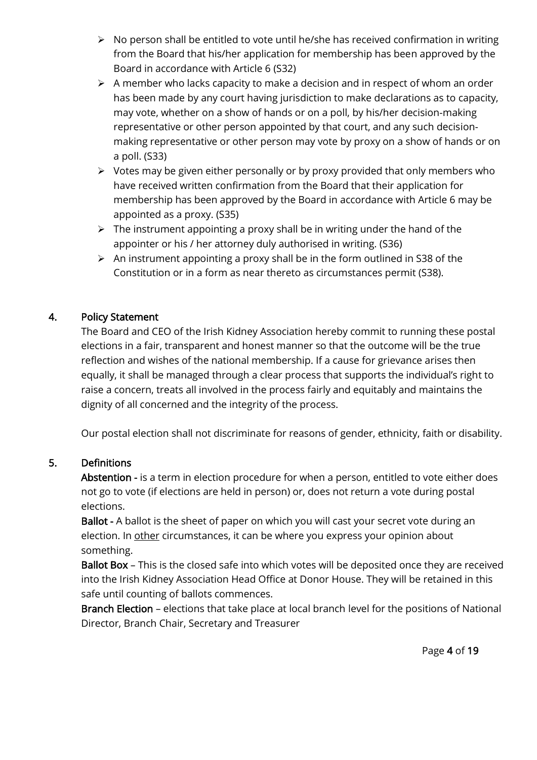- ➢ No person shall be entitled to vote until he/she has received confirmation in writing from the Board that his/her application for membership has been approved by the Board in accordance with Article 6 (S32)
- ➢ A member who lacks capacity to make a decision and in respect of whom an order has been made by any court having jurisdiction to make declarations as to capacity, may vote, whether on a show of hands or on a poll, by his/her decision-making representative or other person appointed by that court, and any such decisionmaking representative or other person may vote by proxy on a show of hands or on a poll. (S33)
- ➢ Votes may be given either personally or by proxy provided that only members who have received written confirmation from the Board that their application for membership has been approved by the Board in accordance with Article 6 may be appointed as a proxy. (S35)
- $\triangleright$  The instrument appointing a proxy shall be in writing under the hand of the appointer or his / her attorney duly authorised in writing. (S36)
- $\triangleright$  An instrument appointing a proxy shall be in the form outlined in S38 of the Constitution or in a form as near thereto as circumstances permit (S38).

# 4. Policy Statement

The Board and CEO of the Irish Kidney Association hereby commit to running these postal elections in a fair, transparent and honest manner so that the outcome will be the true reflection and wishes of the national membership. If a cause for grievance arises then equally, it shall be managed through a clear process that supports the individual's right to raise a concern, treats all involved in the process fairly and equitably and maintains the dignity of all concerned and the integrity of the process.

Our postal election shall not discriminate for reasons of gender, ethnicity, faith or disability.

#### 5. Definitions

Abstention - is a term in election procedure for when a person, entitled to vote either does not go to vote (if elections are held in person) or, does not return a vote during postal elections.

Ballot - A ballot is the sheet of paper on which you will cast your secret vote during an election. In other circumstances, it can be where you express your opinion about something.

Ballot Box - This is the closed safe into which votes will be deposited once they are received into the Irish Kidney Association Head Office at Donor House. They will be retained in this safe until counting of ballots commences.

Branch Election – elections that take place at local branch level for the positions of National Director, Branch Chair, Secretary and Treasurer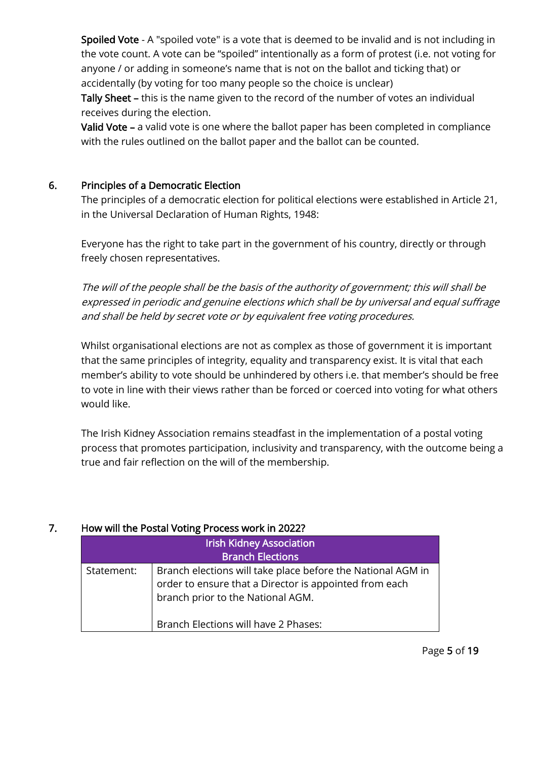Spoiled Vote - A "spoiled vote" is a vote that is deemed to be invalid and is not including in the vote count. A vote can be "spoiled" intentionally as a form of protest (i.e. not voting for anyone / or adding in someone's name that is not on the ballot and ticking that) or accidentally (by voting for too many people so the choice is unclear)

Tally Sheet – this is the name given to the record of the number of votes an individual receives during the election.

Valid Vote – a valid vote is one where the ballot paper has been completed in compliance with the rules outlined on the ballot paper and the ballot can be counted.

#### 6. Principles of a Democratic Election

The principles of a democratic election for political elections were established in Article 21, in the Universal Declaration of Human Rights, 1948:

Everyone has the right to take part in the government of his country, directly or through freely chosen representatives.

The will of the people shall be the basis of the authority of government; this will shall be expressed in periodic and genuine elections which shall be by universal and equal suffrage and shall be held by secret vote or by equivalent free voting procedures.

Whilst organisational elections are not as complex as those of government it is important that the same principles of integrity, equality and transparency exist. It is vital that each member's ability to vote should be unhindered by others i.e. that member's should be free to vote in line with their views rather than be forced or coerced into voting for what others would like.

The Irish Kidney Association remains steadfast in the implementation of a postal voting process that promotes participation, inclusivity and transparency, with the outcome being a true and fair reflection on the will of the membership.

#### 7. How will the Postal Voting Process work in 2022?

|            | <b>Irish Kidney Association</b><br><b>Branch Elections</b>                                                                                                                                         |
|------------|----------------------------------------------------------------------------------------------------------------------------------------------------------------------------------------------------|
| Statement: | Branch elections will take place before the National AGM in<br>order to ensure that a Director is appointed from each<br>branch prior to the National AGM.<br>Branch Elections will have 2 Phases: |

Page 5 of 19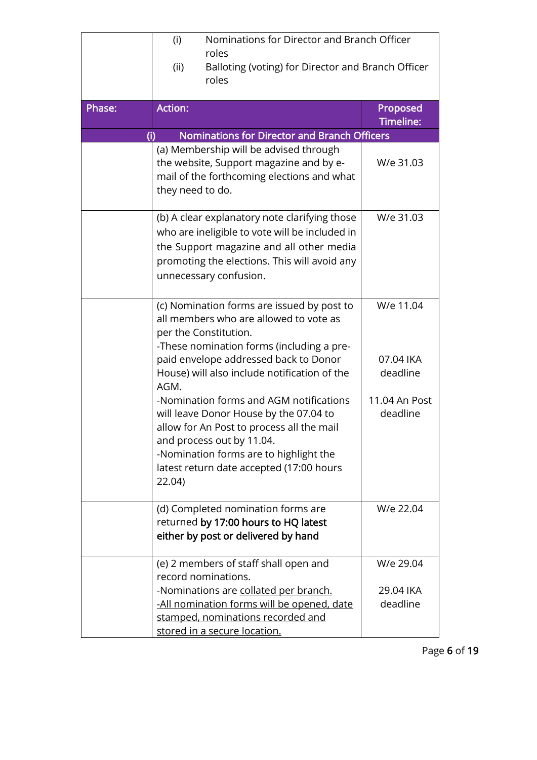|        | (i)<br>(ii)      | Nominations for Director and Branch Officer<br>roles<br>Balloting (voting) for Director and Branch Officer<br>roles                                                                                                                                                                                                                                                                                                                                                                                      |                                                                 |
|--------|------------------|----------------------------------------------------------------------------------------------------------------------------------------------------------------------------------------------------------------------------------------------------------------------------------------------------------------------------------------------------------------------------------------------------------------------------------------------------------------------------------------------------------|-----------------------------------------------------------------|
| Phase: | <b>Action:</b>   |                                                                                                                                                                                                                                                                                                                                                                                                                                                                                                          | Proposed<br>Timeline:                                           |
| (i)    |                  | Nominations for Director and Branch Officers                                                                                                                                                                                                                                                                                                                                                                                                                                                             |                                                                 |
|        | they need to do. | (a) Membership will be advised through<br>the website, Support magazine and by e-<br>mail of the forthcoming elections and what                                                                                                                                                                                                                                                                                                                                                                          | W/e 31.03                                                       |
|        |                  | (b) A clear explanatory note clarifying those<br>who are ineligible to vote will be included in<br>the Support magazine and all other media<br>promoting the elections. This will avoid any<br>unnecessary confusion.                                                                                                                                                                                                                                                                                    | W/e 31.03                                                       |
|        | AGM.<br>22.04    | (c) Nomination forms are issued by post to<br>all members who are allowed to vote as<br>per the Constitution.<br>-These nomination forms (including a pre-<br>paid envelope addressed back to Donor<br>House) will also include notification of the<br>-Nomination forms and AGM notifications<br>will leave Donor House by the 07.04 to<br>allow for An Post to process all the mail<br>and process out by 11.04.<br>-Nomination forms are to highlight the<br>latest return date accepted (17:00 hours | W/e 11.04<br>07.04 IKA<br>deadline<br>11.04 An Post<br>deadline |
|        |                  | (d) Completed nomination forms are<br>returned by 17:00 hours to HQ latest<br>either by post or delivered by hand                                                                                                                                                                                                                                                                                                                                                                                        | W/e 22.04                                                       |
|        |                  | (e) 2 members of staff shall open and<br>record nominations.<br>-Nominations are collated per branch.<br>-All nomination forms will be opened, date<br>stamped, nominations recorded and<br>stored in a secure location.                                                                                                                                                                                                                                                                                 | W/e 29.04<br>29.04 IKA<br>deadline                              |

Page 6 of 19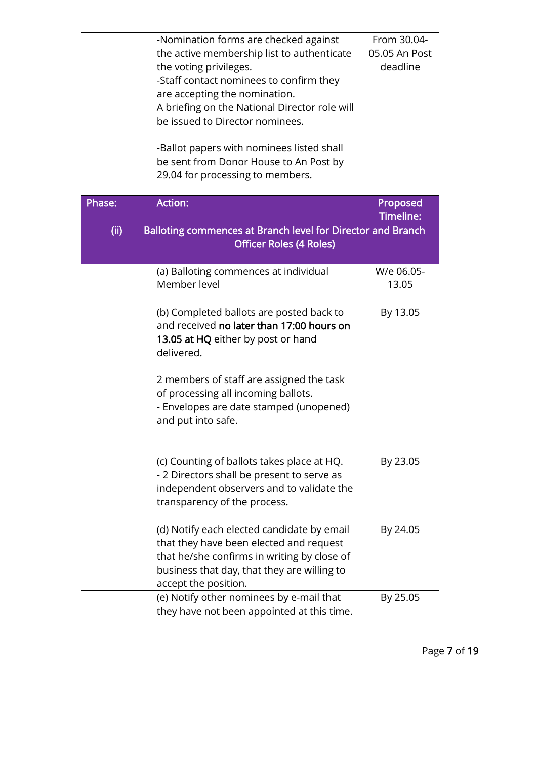|        | -Nomination forms are checked against<br>the active membership list to authenticate<br>the voting privileges.<br>-Staff contact nominees to confirm they<br>are accepting the nomination.<br>A briefing on the National Director role will<br>be issued to Director nominees.<br>-Ballot papers with nominees listed shall<br>be sent from Donor House to An Post by<br>29.04 for processing to members. | From 30.04-<br>05.05 An Post<br>deadline |
|--------|----------------------------------------------------------------------------------------------------------------------------------------------------------------------------------------------------------------------------------------------------------------------------------------------------------------------------------------------------------------------------------------------------------|------------------------------------------|
| Phase: | <b>Action:</b>                                                                                                                                                                                                                                                                                                                                                                                           | Proposed<br>Timeline:                    |
| (ii)   | Balloting commences at Branch level for Director and Branch<br><b>Officer Roles (4 Roles)</b>                                                                                                                                                                                                                                                                                                            |                                          |
|        | (a) Balloting commences at individual<br>Member level                                                                                                                                                                                                                                                                                                                                                    | W/e 06.05-<br>13.05                      |
|        | (b) Completed ballots are posted back to<br>and received no later than 17:00 hours on<br>13.05 at HQ either by post or hand<br>delivered.                                                                                                                                                                                                                                                                | By 13.05                                 |
|        | 2 members of staff are assigned the task<br>of processing all incoming ballots.<br>- Envelopes are date stamped (unopened)<br>and put into safe.                                                                                                                                                                                                                                                         |                                          |
|        | (c) Counting of ballots takes place at HQ.<br>- 2 Directors shall be present to serve as<br>independent observers and to validate the<br>transparency of the process.                                                                                                                                                                                                                                    | By 23.05                                 |
|        | (d) Notify each elected candidate by email<br>that they have been elected and request<br>that he/she confirms in writing by close of<br>business that day, that they are willing to<br>accept the position.                                                                                                                                                                                              | By 24.05                                 |
|        | (e) Notify other nominees by e-mail that<br>they have not been appointed at this time.                                                                                                                                                                                                                                                                                                                   | By 25.05                                 |

Page 7 of 19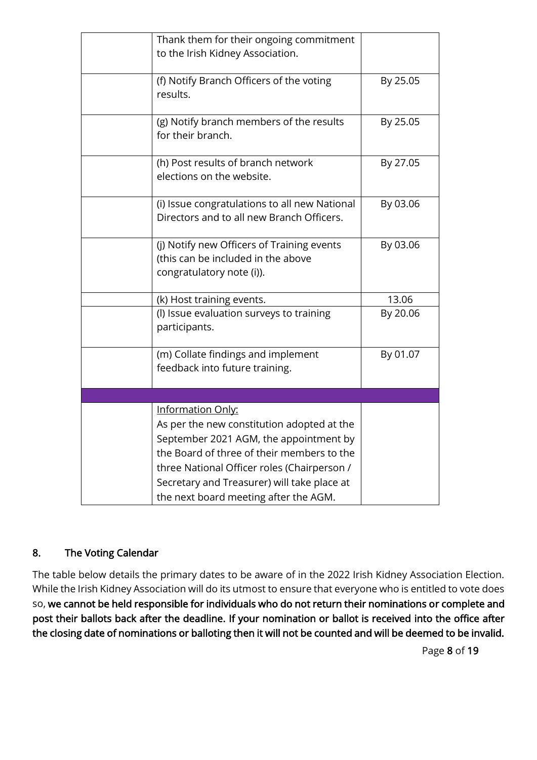| Thank them for their ongoing commitment<br>to the Irish Kidney Association.                                                                                                                                                                                                                    |          |
|------------------------------------------------------------------------------------------------------------------------------------------------------------------------------------------------------------------------------------------------------------------------------------------------|----------|
| (f) Notify Branch Officers of the voting<br>results.                                                                                                                                                                                                                                           | By 25.05 |
| (g) Notify branch members of the results<br>for their branch.                                                                                                                                                                                                                                  | By 25.05 |
| (h) Post results of branch network<br>elections on the website.                                                                                                                                                                                                                                | By 27.05 |
| (i) Issue congratulations to all new National<br>Directors and to all new Branch Officers.                                                                                                                                                                                                     | By 03.06 |
| (j) Notify new Officers of Training events<br>(this can be included in the above<br>congratulatory note (i)).                                                                                                                                                                                  | By 03.06 |
| (k) Host training events.                                                                                                                                                                                                                                                                      | 13.06    |
| (I) Issue evaluation surveys to training<br>participants.                                                                                                                                                                                                                                      | By 20.06 |
| (m) Collate findings and implement<br>feedback into future training.                                                                                                                                                                                                                           | By 01.07 |
|                                                                                                                                                                                                                                                                                                |          |
| Information Only:<br>As per the new constitution adopted at the<br>September 2021 AGM, the appointment by<br>the Board of three of their members to the<br>three National Officer roles (Chairperson /<br>Secretary and Treasurer) will take place at<br>the next board meeting after the AGM. |          |

# 8. The Voting Calendar

The table below details the primary dates to be aware of in the 2022 Irish Kidney Association Election. While the Irish Kidney Association will do its utmost to ensure that everyone who is entitled to vote does so, we cannot be held responsible for individuals who do not return their nominations or complete and post their ballots back after the deadline. If your nomination or ballot is received into the office after the closing date of nominations or balloting then it will not be counted and will be deemed to be invalid.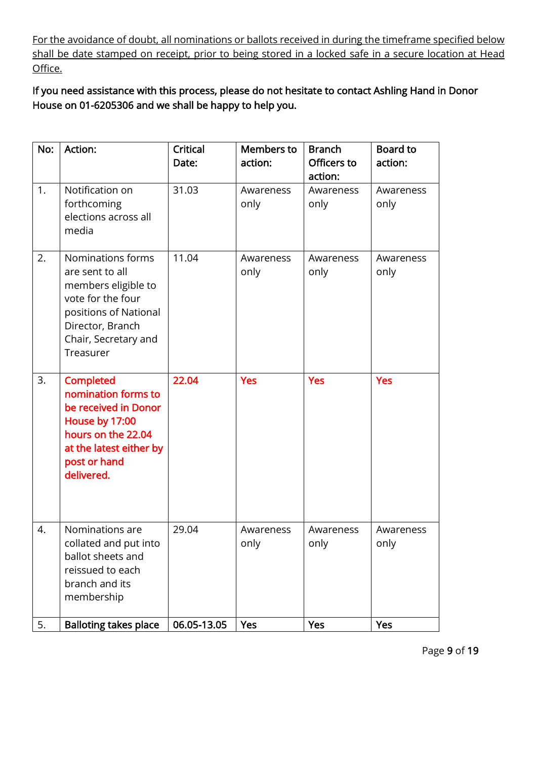For the avoidance of doubt, all nominations or ballots received in during the timeframe specified below shall be date stamped on receipt, prior to being stored in a locked safe in a secure location at Head Office.

If you need assistance with this process, please do not hesitate to contact Ashling Hand in Donor House on 01-6205306 and we shall be happy to help you.

| No: | Action:                                                                                                                                                            | Critical<br>Date: | <b>Members to</b><br>action: | <b>Branch</b><br>Officers to<br>action: | Board to<br>action: |
|-----|--------------------------------------------------------------------------------------------------------------------------------------------------------------------|-------------------|------------------------------|-----------------------------------------|---------------------|
| 1.  | Notification on<br>forthcoming<br>elections across all<br>media                                                                                                    | 31.03             | Awareness<br>only            | Awareness<br>only                       | Awareness<br>only   |
| 2.  | Nominations forms<br>are sent to all<br>members eligible to<br>vote for the four<br>positions of National<br>Director, Branch<br>Chair, Secretary and<br>Treasurer | 11.04             | Awareness<br>only            | Awareness<br>only                       | Awareness<br>only   |
| 3.  | <b>Completed</b><br>nomination forms to<br>be received in Donor<br>House by 17:00<br>hours on the 22.04<br>at the latest either by<br>post or hand<br>delivered.   | 22.04             | <b>Yes</b>                   | <b>Yes</b>                              | <b>Yes</b>          |
| 4.  | Nominations are<br>collated and put into<br>ballot sheets and<br>reissued to each<br>branch and its<br>membership                                                  | 29.04             | Awareness<br>only            | Awareness<br>only                       | Awareness<br>only   |
| 5.  | <b>Balloting takes place</b>                                                                                                                                       | 06.05-13.05       | Yes                          | Yes                                     | <b>Yes</b>          |

Page 9 of 19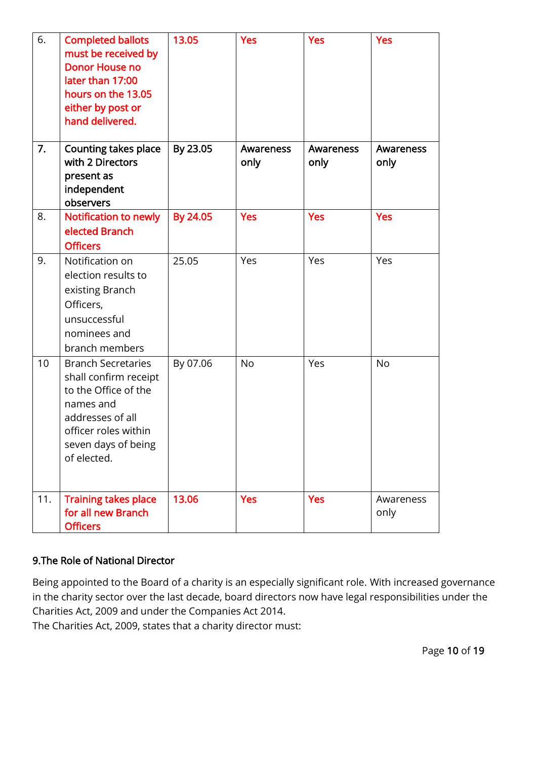| 6.  | <b>Completed ballots</b><br>must be received by<br><b>Donor House no</b><br>later than 17:00<br>hours on the 13.05<br>either by post or<br>hand delivered.                | 13.05    | <b>Yes</b>        | <b>Yes</b>        | <b>Yes</b>        |
|-----|---------------------------------------------------------------------------------------------------------------------------------------------------------------------------|----------|-------------------|-------------------|-------------------|
| 7.  | <b>Counting takes place</b><br>with 2 Directors<br>present as<br>independent<br>observers                                                                                 | By 23.05 | Awareness<br>only | Awareness<br>only | Awareness<br>only |
| 8.  | Notification to newly<br>elected Branch<br><b>Officers</b>                                                                                                                | By 24.05 | <b>Yes</b>        | <b>Yes</b>        | <b>Yes</b>        |
| 9.  | Notification on<br>election results to<br>existing Branch<br>Officers,<br>unsuccessful<br>nominees and<br>branch members                                                  | 25.05    | Yes               | Yes               | Yes               |
| 10  | <b>Branch Secretaries</b><br>shall confirm receipt<br>to the Office of the<br>names and<br>addresses of all<br>officer roles within<br>seven days of being<br>of elected. | By 07.06 | <b>No</b>         | Yes               | <b>No</b>         |
| 11. | <b>Training takes place</b><br>for all new Branch<br><b>Officers</b>                                                                                                      | 13.06    | <b>Yes</b>        | <b>Yes</b>        | Awareness<br>only |

#### 9.The Role of National Director

Being appointed to the Board of a charity is an especially significant role. With increased governance in the charity sector over the last decade, board directors now have legal responsibilities under the Charities Act, 2009 and under the Companies Act 2014.

The Charities Act, 2009, states that a charity director must: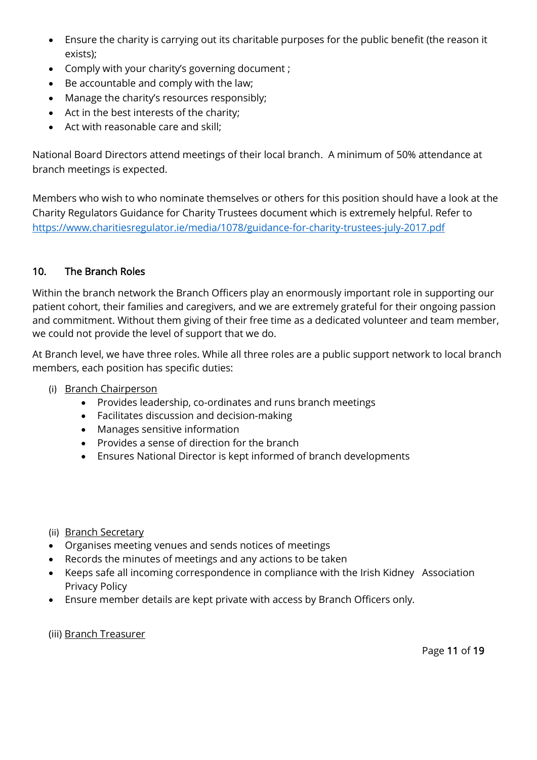- Ensure the charity is carrying out its charitable purposes for the public benefit (the reason it exists);
- Comply with your charity's governing document ;
- Be accountable and comply with the law;
- Manage the charity's resources responsibly;
- Act in the best interests of the charity;
- Act with reasonable care and skill;

National Board Directors attend meetings of their local branch. A minimum of 50% attendance at branch meetings is expected.

Members who wish to who nominate themselves or others for this position should have a look at the Charity Regulators Guidance for Charity Trustees document which is extremely helpful. Refer to <https://www.charitiesregulator.ie/media/1078/guidance-for-charity-trustees-july-2017.pdf>

# 10. The Branch Roles

Within the branch network the Branch Officers play an enormously important role in supporting our patient cohort, their families and caregivers, and we are extremely grateful for their ongoing passion and commitment. Without them giving of their free time as a dedicated volunteer and team member, we could not provide the level of support that we do.

At Branch level, we have three roles. While all three roles are a public support network to local branch members, each position has specific duties:

- (i) Branch Chairperson
	- Provides leadership, co-ordinates and runs branch meetings
	- Facilitates discussion and decision-making
	- Manages sensitive information
	- Provides a sense of direction for the branch
	- Ensures National Director is kept informed of branch developments
- (ii) Branch Secretary
- Organises meeting venues and sends notices of meetings
- Records the minutes of meetings and any actions to be taken
- Keeps safe all incoming correspondence in compliance with the Irish Kidney Association Privacy Policy
- Ensure member details are kept private with access by Branch Officers only.

#### (iii) Branch Treasurer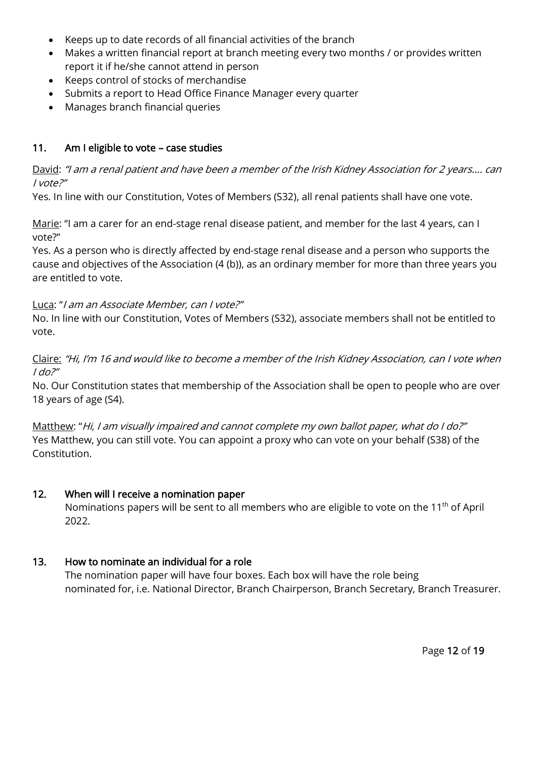- Keeps up to date records of all financial activities of the branch
- Makes a written financial report at branch meeting every two months / or provides written report it if he/she cannot attend in person
- Keeps control of stocks of merchandise
- Submits a report to Head Office Finance Manager every quarter
- Manages branch financial queries

#### 11. Am I eligible to vote – case studies

David: "I am a renal patient and have been a member of the Irish Kidney Association for 2 years.... can I vote?"

Yes. In line with our Constitution, Votes of Members (S32), all renal patients shall have one vote.

Marie: "I am a carer for an end-stage renal disease patient, and member for the last 4 years, can I vote?"

Yes. As a person who is directly affected by end-stage renal disease and a person who supports the cause and objectives of the Association (4 (b)), as an ordinary member for more than three years you are entitled to vote.

#### Luca: "I am an Associate Member, can I vote?"

No. In line with our Constitution, Votes of Members (S32), associate members shall not be entitled to vote.

Claire: "Hi, I'm 16 and would like to become a member of the Irish Kidney Association, can I vote when  $1$  do?"

No. Our Constitution states that membership of the Association shall be open to people who are over 18 years of age (S4).

Matthew: "Hi, I am visually impaired and cannot complete my own ballot paper, what do I do?" Yes Matthew, you can still vote. You can appoint a proxy who can vote on your behalf (S38) of the Constitution.

#### 12. When will I receive a nomination paper

Nominations papers will be sent to all members who are eligible to vote on the 11<sup>th</sup> of April 2022.

#### 13. How to nominate an individual for a role

The nomination paper will have four boxes. Each box will have the role being nominated for, i.e. National Director, Branch Chairperson, Branch Secretary, Branch Treasurer.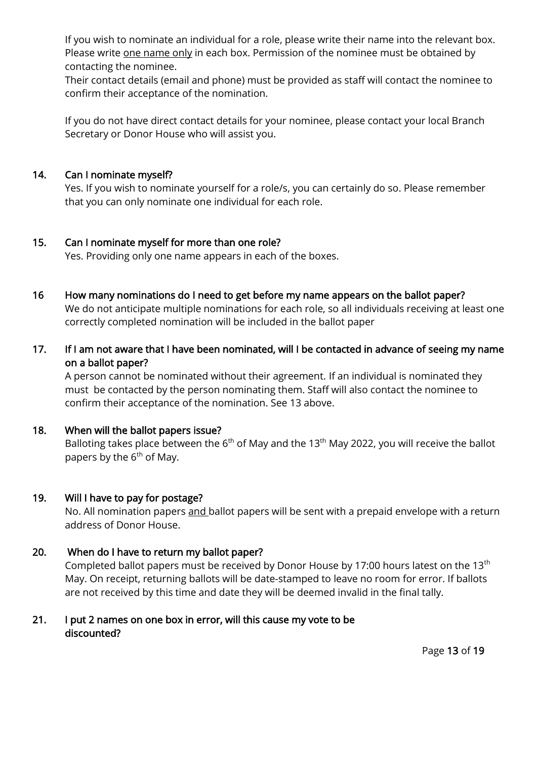If you wish to nominate an individual for a role, please write their name into the relevant box. Please write one name only in each box. Permission of the nominee must be obtained by contacting the nominee.

Their contact details (email and phone) must be provided as staff will contact the nominee to confirm their acceptance of the nomination.

If you do not have direct contact details for your nominee, please contact your local Branch Secretary or Donor House who will assist you.

#### 14. Can I nominate myself?

Yes. If you wish to nominate yourself for a role/s, you can certainly do so. Please remember that you can only nominate one individual for each role.

#### 15. Can I nominate myself for more than one role?

Yes. Providing only one name appears in each of the boxes.

# 16 How many nominations do I need to get before my name appears on the ballot paper?

We do not anticipate multiple nominations for each role, so all individuals receiving at least one correctly completed nomination will be included in the ballot paper

# 17. If I am not aware that I have been nominated, will I be contacted in advance of seeing my name on a ballot paper?

A person cannot be nominated without their agreement. If an individual is nominated they must be contacted by the person nominating them. Staff will also contact the nominee to confirm their acceptance of the nomination. See 13 above.

#### 18. When will the ballot papers issue?

Balloting takes place between the 6<sup>th</sup> of May and the 13<sup>th</sup> May 2022, you will receive the ballot papers by the  $6<sup>th</sup>$  of May.

#### 19. Will I have to pay for postage?

No. All nomination papers and ballot papers will be sent with a prepaid envelope with a return address of Donor House.

#### 20. When do I have to return my ballot paper?

Completed ballot papers must be received by Donor House by 17:00 hours latest on the 13<sup>th</sup> May. On receipt, returning ballots will be date-stamped to leave no room for error. If ballots are not received by this time and date they will be deemed invalid in the final tally.

#### 21. I put 2 names on one box in error, will this cause my vote to be discounted?

Page 13 of 19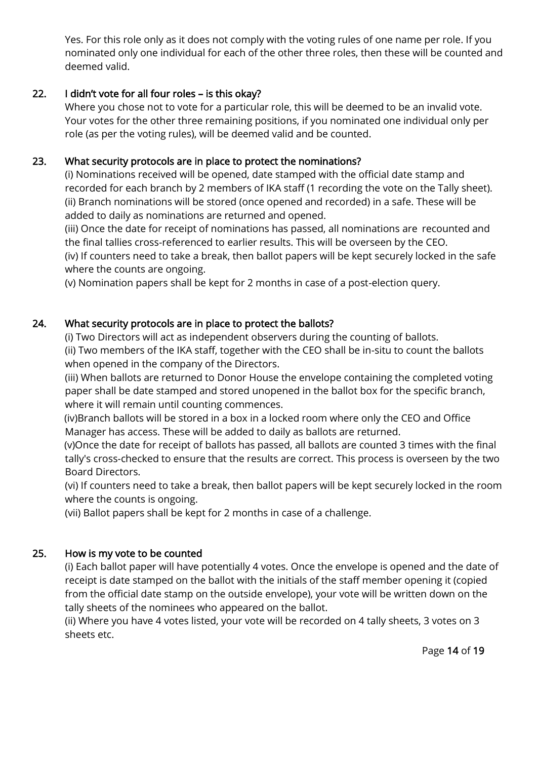Yes. For this role only as it does not comply with the voting rules of one name per role. If you nominated only one individual for each of the other three roles, then these will be counted and deemed valid.

#### 22. I didn't vote for all four roles – is this okay?

Where you chose not to vote for a particular role, this will be deemed to be an invalid vote. Your votes for the other three remaining positions, if you nominated one individual only per role (as per the voting rules), will be deemed valid and be counted.

#### 23. What security protocols are in place to protect the nominations?

(i) Nominations received will be opened, date stamped with the official date stamp and recorded for each branch by 2 members of IKA staff (1 recording the vote on the Tally sheet). (ii) Branch nominations will be stored (once opened and recorded) in a safe. These will be added to daily as nominations are returned and opened.

(iii) Once the date for receipt of nominations has passed, all nominations are recounted and the final tallies cross-referenced to earlier results. This will be overseen by the CEO. (iv) If counters need to take a break, then ballot papers will be kept securely locked in the safe where the counts are ongoing.

(v) Nomination papers shall be kept for 2 months in case of a post-election query.

# 24. What security protocols are in place to protect the ballots?

(i) Two Directors will act as independent observers during the counting of ballots. (ii) Two members of the IKA staff, together with the CEO shall be in-situ to count the ballots when opened in the company of the Directors.

(iii) When ballots are returned to Donor House the envelope containing the completed voting paper shall be date stamped and stored unopened in the ballot box for the specific branch, where it will remain until counting commences.

 (iv)Branch ballots will be stored in a box in a locked room where only the CEO and Office Manager has access. These will be added to daily as ballots are returned.

 (v)Once the date for receipt of ballots has passed, all ballots are counted 3 times with the final tally's cross-checked to ensure that the results are correct. This process is overseen by the two Board Directors.

(vi) If counters need to take a break, then ballot papers will be kept securely locked in the room where the counts is ongoing.

(vii) Ballot papers shall be kept for 2 months in case of a challenge.

# 25. How is my vote to be counted

(i) Each ballot paper will have potentially 4 votes. Once the envelope is opened and the date of receipt is date stamped on the ballot with the initials of the staff member opening it (copied from the official date stamp on the outside envelope), your vote will be written down on the tally sheets of the nominees who appeared on the ballot.

(ii) Where you have 4 votes listed, your vote will be recorded on 4 tally sheets, 3 votes on 3 sheets etc.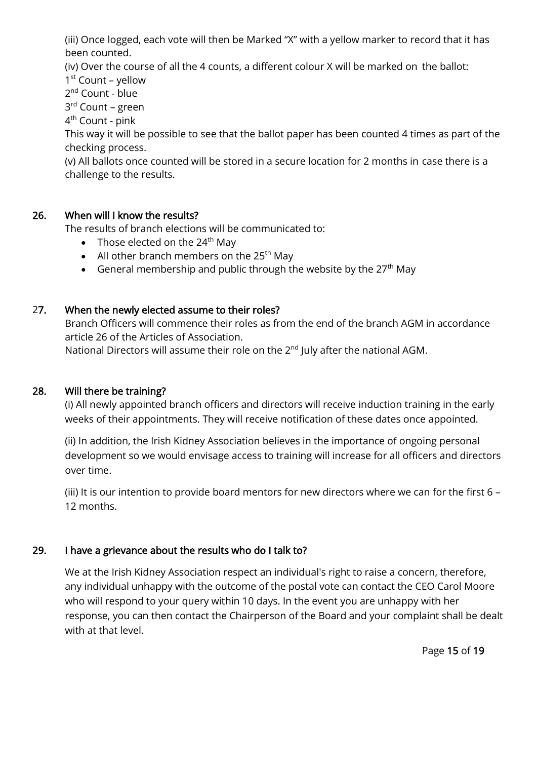(iii) Once logged, each vote will then be Marked "X" with a yellow marker to record that it has been counted.

(iv) Over the course of all the 4 counts, a different colour X will be marked on the ballot:

1 st Count – yellow

2<sup>nd</sup> Count - blue

3<sup>rd</sup> Count – green

4<sup>th</sup> Count - pink

This way it will be possible to see that the ballot paper has been counted 4 times as part of the checking process.

(v) All ballots once counted will be stored in a secure location for 2 months in case there is a challenge to the results.

#### 26. When will I know the results?

The results of branch elections will be communicated to:

- Those elected on the  $24<sup>th</sup>$  May
- All other branch members on the  $25<sup>th</sup>$  May
- General membership and public through the website by the  $27<sup>th</sup>$  May

# 27. When the newly elected assume to their roles?

Branch Officers will commence their roles as from the end of the branch AGM in accordance article 26 of the Articles of Association.

National Directors will assume their role on the  $2<sup>nd</sup>$  July after the national AGM.

#### 28. Will there be training?

(i) All newly appointed branch officers and directors will receive induction training in the early weeks of their appointments. They will receive notification of these dates once appointed.

(ii) In addition, the Irish Kidney Association believes in the importance of ongoing personal development so we would envisage access to training will increase for all officers and directors over time.

(iii) It is our intention to provide board mentors for new directors where we can for the first 6 – 12 months.

#### 29. I have a grievance about the results who do I talk to?

We at the Irish Kidney Association respect an individual's right to raise a concern, therefore, any individual unhappy with the outcome of the postal vote can contact the CEO Carol Moore who will respond to your query within 10 days. In the event you are unhappy with her response, you can then contact the Chairperson of the Board and your complaint shall be dealt with at that level.

Page 15 of 19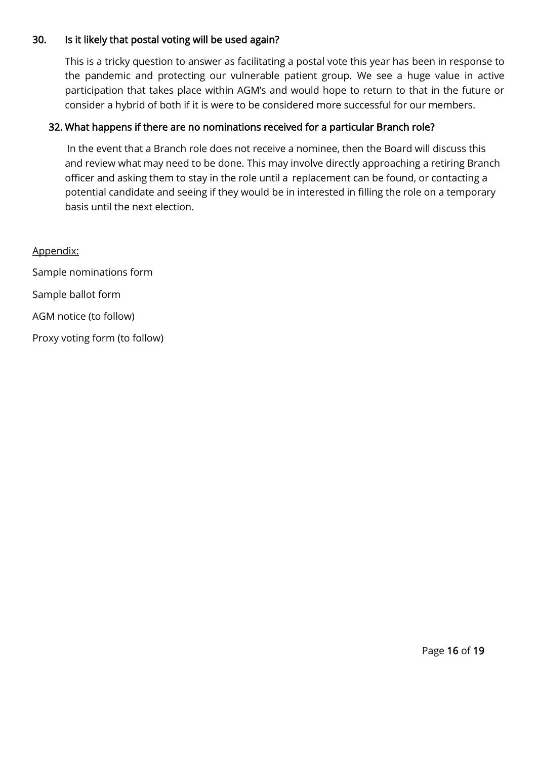#### 30. Is it likely that postal voting will be used again?

This is a tricky question to answer as facilitating a postal vote this year has been in response to the pandemic and protecting our vulnerable patient group. We see a huge value in active participation that takes place within AGM's and would hope to return to that in the future or consider a hybrid of both if it is were to be considered more successful for our members.

#### 32. What happens if there are no nominations received for a particular Branch role?

In the event that a Branch role does not receive a nominee, then the Board will discuss this and review what may need to be done. This may involve directly approaching a retiring Branch officer and asking them to stay in the role until a replacement can be found, or contacting a potential candidate and seeing if they would be in interested in filling the role on a temporary basis until the next election.

Appendix: Sample nominations form Sample ballot form AGM notice (to follow) Proxy voting form (to follow)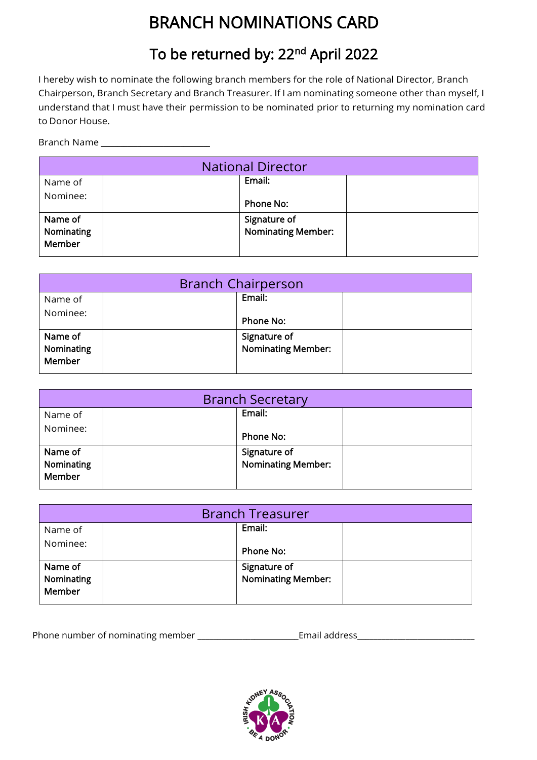# BRANCH NOMINATIONS CARD

# To be returned by: 22<sup>nd</sup> April 2022

I hereby wish to nominate the following branch members for the role of National Director, Branch Chairperson, Branch Secretary and Branch Treasurer. If I am nominating someone other than myself, I understand that I must have their permission to be nominated prior to returning my nomination card to Donor House.

Branch Name \_\_\_\_\_\_\_\_\_\_\_\_\_\_\_\_\_\_\_\_\_\_\_\_\_\_\_\_\_\_\_\_\_

|                                 | <b>National Director</b> |                                           |  |
|---------------------------------|--------------------------|-------------------------------------------|--|
| Name of                         |                          | Email:                                    |  |
| Nominee:                        |                          | Phone No:                                 |  |
| Name of<br>Nominating<br>Member |                          | Signature of<br><b>Nominating Member:</b> |  |

| <b>Branch Chairperson</b>       |  |                                           |  |
|---------------------------------|--|-------------------------------------------|--|
| Name of                         |  | Email:                                    |  |
| Nominee:                        |  | Phone No:                                 |  |
| Name of<br>Nominating<br>Member |  | Signature of<br><b>Nominating Member:</b> |  |

| <b>Branch Secretary</b>         |  |                                           |  |
|---------------------------------|--|-------------------------------------------|--|
| Name of                         |  | Email:                                    |  |
| Nominee:                        |  | Phone No:                                 |  |
| Name of<br>Nominating<br>Member |  | Signature of<br><b>Nominating Member:</b> |  |

|                                 | <b>Branch Treasurer</b> |                                           |  |
|---------------------------------|-------------------------|-------------------------------------------|--|
| Name of                         |                         | Email:                                    |  |
| Nominee:                        |                         | Phone No:                                 |  |
| Name of<br>Nominating<br>Member |                         | Signature of<br><b>Nominating Member:</b> |  |

Phone number of nominating member \_\_\_\_\_\_\_\_\_\_\_\_\_\_\_\_\_\_\_\_\_\_\_\_\_Email address\_\_\_\_\_\_\_\_\_\_\_\_\_\_\_\_\_\_\_\_\_\_\_\_\_\_\_\_\_